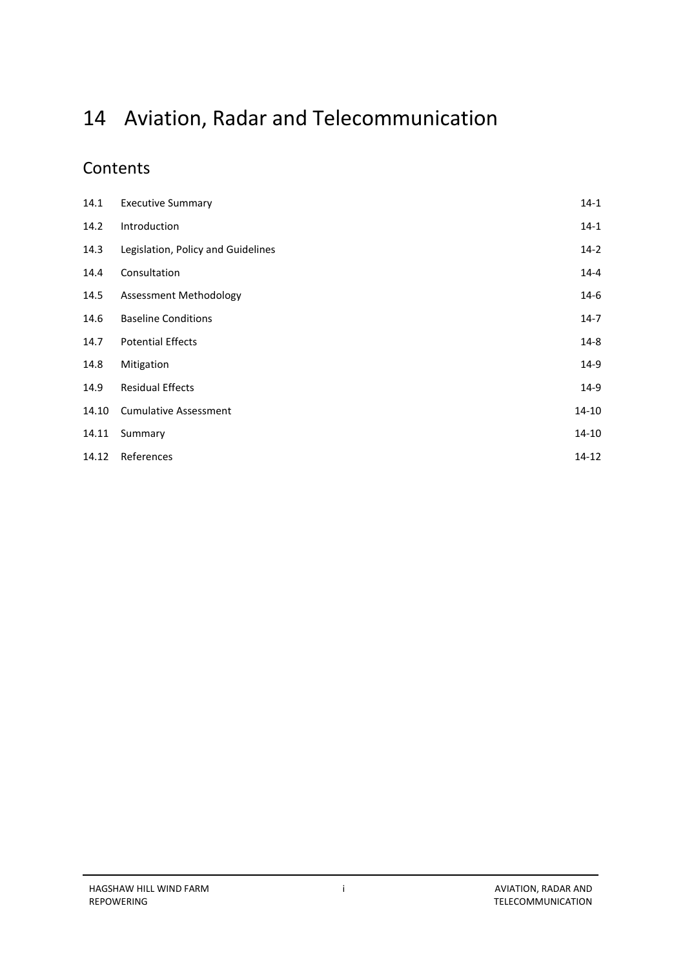# 14 Aviation, Radar and Telecommunication

# **Contents**

| 14.1  | <b>Executive Summary</b>           | $14-1$    |
|-------|------------------------------------|-----------|
| 14.2  | Introduction                       | $14-1$    |
| 14.3  | Legislation, Policy and Guidelines | $14-2$    |
| 14.4  | Consultation                       | $14 - 4$  |
| 14.5  | Assessment Methodology             | $14-6$    |
| 14.6  | <b>Baseline Conditions</b>         | $14 - 7$  |
| 14.7  | <b>Potential Effects</b>           | $14 - 8$  |
| 14.8  | Mitigation                         | $14-9$    |
| 14.9  | <b>Residual Effects</b>            | $14-9$    |
| 14.10 | <b>Cumulative Assessment</b>       | 14-10     |
| 14.11 | Summary                            | 14-10     |
| 14.12 | References                         | $14 - 12$ |
|       |                                    |           |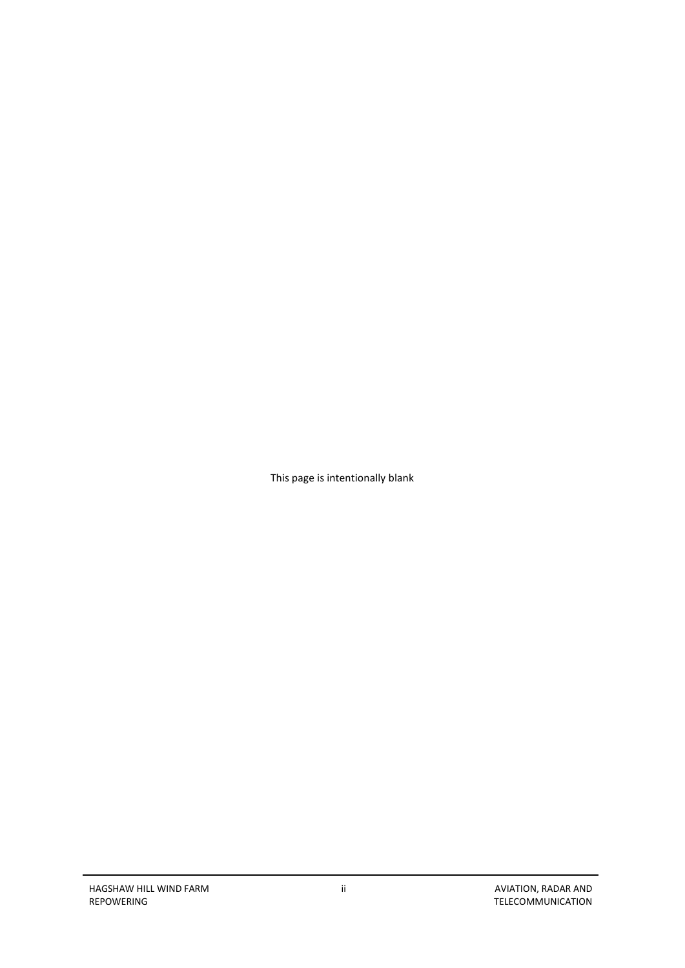This page is intentionally blank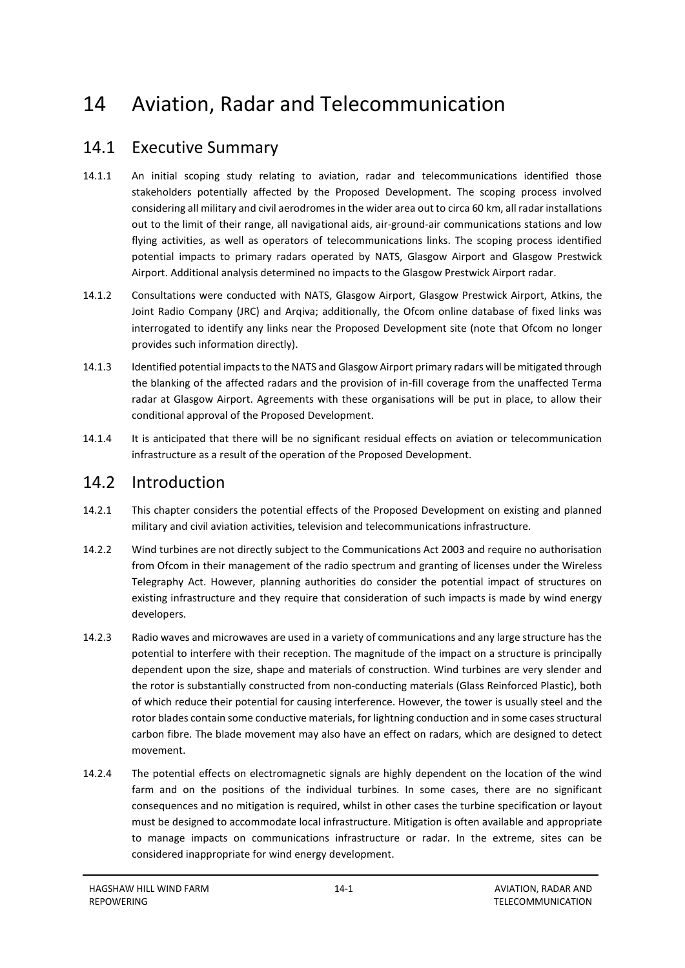# 14 Aviation, Radar and Telecommunication

### <span id="page-2-0"></span>14.1 Executive Summary

- 14.1.1 An initial scoping study relating to aviation, radar and telecommunications identified those stakeholders potentially affected by the Proposed Development. The scoping process involved considering all military and civil aerodromes in the wider area out to circa 60 km, all radar installations out to the limit of their range, all navigational aids, air-ground-air communications stations and low flying activities, as well as operators of telecommunications links. The scoping process identified potential impacts to primary radars operated by NATS, Glasgow Airport and Glasgow Prestwick Airport. Additional analysis determined no impacts to the Glasgow Prestwick Airport radar.
- 14.1.2 Consultations were conducted with NATS, Glasgow Airport, Glasgow Prestwick Airport, Atkins, the Joint Radio Company (JRC) and Arqiva; additionally, the Ofcom online database of fixed links was interrogated to identify any links near the Proposed Development site (note that Ofcom no longer provides such information directly).
- 14.1.3 Identified potential impacts to the NATS and Glasgow Airport primary radars will be mitigated through the blanking of the affected radars and the provision of in-fill coverage from the unaffected Terma radar at Glasgow Airport. Agreements with these organisations will be put in place, to allow their conditional approval of the Proposed Development.
- 14.1.4 It is anticipated that there will be no significant residual effects on aviation or telecommunication infrastructure as a result of the operation of the Proposed Development.

### <span id="page-2-1"></span>14.2 Introduction

- 14.2.1 This chapter considers the potential effects of the Proposed Development on existing and planned military and civil aviation activities, television and telecommunications infrastructure.
- 14.2.2 Wind turbines are not directly subject to the Communications Act 2003 and require no authorisation from Ofcom in their management of the radio spectrum and granting of licenses under the Wireless Telegraphy Act. However, planning authorities do consider the potential impact of structures on existing infrastructure and they require that consideration of such impacts is made by wind energy developers.
- 14.2.3 Radio waves and microwaves are used in a variety of communications and any large structure has the potential to interfere with their reception. The magnitude of the impact on a structure is principally dependent upon the size, shape and materials of construction. Wind turbines are very slender and the rotor is substantially constructed from non-conducting materials (Glass Reinforced Plastic), both of which reduce their potential for causing interference. However, the tower is usually steel and the rotor blades contain some conductive materials, for lightning conduction and in some cases structural carbon fibre. The blade movement may also have an effect on radars, which are designed to detect movement.
- 14.2.4 The potential effects on electromagnetic signals are highly dependent on the location of the wind farm and on the positions of the individual turbines. In some cases, there are no significant consequences and no mitigation is required, whilst in other cases the turbine specification or layout must be designed to accommodate local infrastructure. Mitigation is often available and appropriate to manage impacts on communications infrastructure or radar. In the extreme, sites can be considered inappropriate for wind energy development.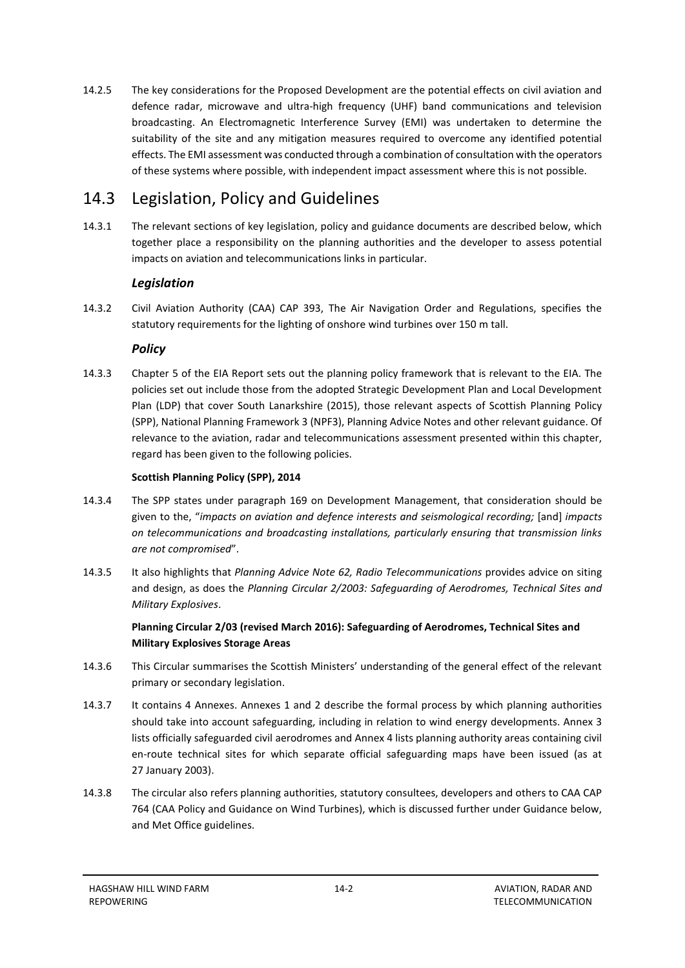14.2.5 The key considerations for the Proposed Development are the potential effects on civil aviation and defence radar, microwave and ultra-high frequency (UHF) band communications and television broadcasting. An Electromagnetic Interference Survey (EMI) was undertaken to determine the suitability of the site and any mitigation measures required to overcome any identified potential effects. The EMI assessment was conducted through a combination of consultation with the operators of these systems where possible, with independent impact assessment where this is not possible.

# <span id="page-3-0"></span>14.3 Legislation, Policy and Guidelines

14.3.1 The relevant sections of key legislation, policy and guidance documents are described below, which together place a responsibility on the planning authorities and the developer to assess potential impacts on aviation and telecommunications links in particular.

#### *Legislation*

14.3.2 Civil Aviation Authority (CAA) CAP 393, The Air Navigation Order and Regulations, specifies the statutory requirements for the lighting of onshore wind turbines over 150 m tall.

#### *Policy*

14.3.3 Chapter 5 of the EIA Report sets out the planning policy framework that is relevant to the EIA. The policies set out include those from the adopted Strategic Development Plan and Local Development Plan (LDP) that cover South Lanarkshire (2015), those relevant aspects of Scottish Planning Policy (SPP), National Planning Framework 3 (NPF3), Planning Advice Notes and other relevant guidance. Of relevance to the aviation, radar and telecommunications assessment presented within this chapter, regard has been given to the following policies.

#### **Scottish Planning Policy (SPP), 2014**

- 14.3.4 The SPP states under paragraph 169 on Development Management, that consideration should be given to the, "*impacts on aviation and defence interests and seismological recording;* [and] *impacts on telecommunications and broadcasting installations, particularly ensuring that transmission links are not compromised*".
- 14.3.5 It also highlights that *Planning Advice Note 62, Radio Telecommunications* provides advice on siting and design, as does the *Planning Circular 2/2003: Safeguarding of Aerodromes, Technical Sites and Military Explosives*.

#### **Planning Circular 2/03 (revised March 2016): Safeguarding of Aerodromes, Technical Sites and Military Explosives Storage Areas**

- 14.3.6 This Circular summarises the Scottish Ministers' understanding of the general effect of the relevant primary or secondary legislation.
- 14.3.7 It contains 4 Annexes. Annexes 1 and 2 describe the formal process by which planning authorities should take into account safeguarding, including in relation to wind energy developments. Annex 3 lists officially safeguarded civil aerodromes and Annex 4 lists planning authority areas containing civil en-route technical sites for which separate official safeguarding maps have been issued (as at 27 January 2003).
- 14.3.8 The circular also refers planning authorities, statutory consultees, developers and others to CAA CAP 764 (CAA Policy and Guidance on Wind Turbines), which is discussed further under Guidance below, and Met Office guidelines.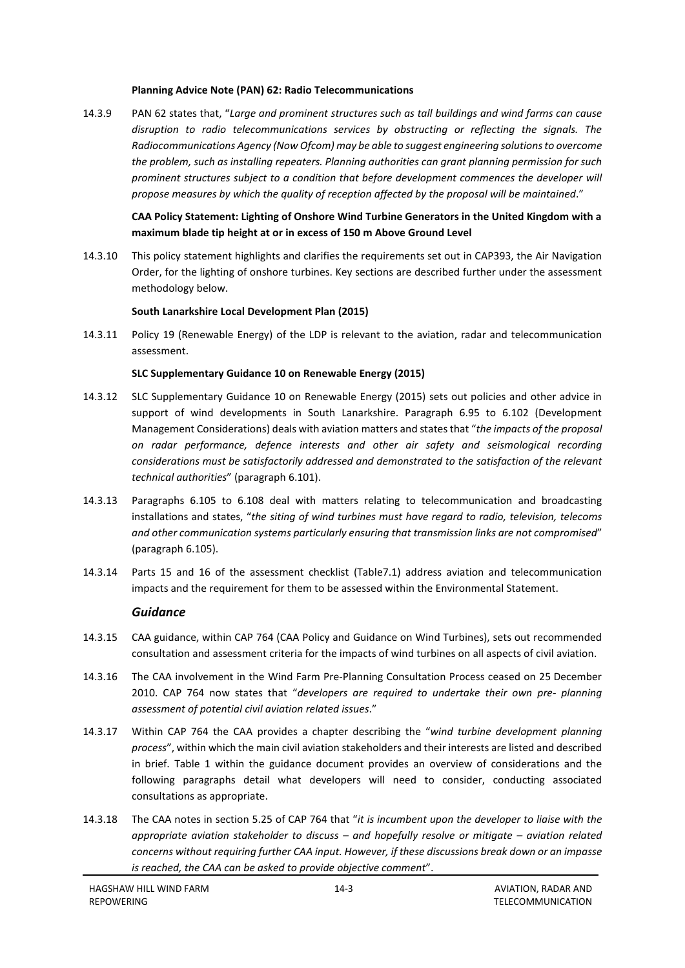#### **Planning Advice Note (PAN) 62: Radio Telecommunications**

14.3.9 PAN 62 states that, "*Large and prominent structures such as tall buildings and wind farms can cause disruption to radio telecommunications services by obstructing or reflecting the signals. The Radiocommunications Agency (Now Ofcom) may be able to suggest engineering solutions to overcome the problem, such as installing repeaters. Planning authorities can grant planning permission for such prominent structures subject to a condition that before development commences the developer will propose measures by which the quality of reception affected by the proposal will be maintained*."

#### **CAA Policy Statement: Lighting of Onshore Wind Turbine Generators in the United Kingdom with a maximum blade tip height at or in excess of 150 m Above Ground Level**

14.3.10 This policy statement highlights and clarifies the requirements set out in CAP393, the Air Navigation Order, for the lighting of onshore turbines. Key sections are described further under the assessment methodology below.

#### **South Lanarkshire Local Development Plan (2015)**

14.3.11 Policy 19 (Renewable Energy) of the LDP is relevant to the aviation, radar and telecommunication assessment.

#### **SLC Supplementary Guidance 10 on Renewable Energy (2015)**

- 14.3.12 SLC Supplementary Guidance 10 on Renewable Energy (2015) sets out policies and other advice in support of wind developments in South Lanarkshire. Paragraph 6.95 to 6.102 (Development Management Considerations) deals with aviation matters and states that "*the impacts of the proposal on radar performance, defence interests and other air safety and seismological recording considerations must be satisfactorily addressed and demonstrated to the satisfaction of the relevant technical authorities*" (paragraph 6.101).
- 14.3.13 Paragraphs 6.105 to 6.108 deal with matters relating to telecommunication and broadcasting installations and states, "*the siting of wind turbines must have regard to radio, television, telecoms and other communication systems particularly ensuring that transmission links are not compromised*" (paragraph 6.105).
- 14.3.14 Parts 15 and 16 of the assessment checklist (Table7.1) address aviation and telecommunication impacts and the requirement for them to be assessed within the Environmental Statement.

#### *Guidance*

- 14.3.15 CAA guidance, within CAP 764 (CAA Policy and Guidance on Wind Turbines), sets out recommended consultation and assessment criteria for the impacts of wind turbines on all aspects of civil aviation.
- 14.3.16 The CAA involvement in the Wind Farm Pre-Planning Consultation Process ceased on 25 December 2010. CAP 764 now states that "*developers are required to undertake their own pre- planning assessment of potential civil aviation related issues*."
- 14.3.17 Within CAP 764 the CAA provides a chapter describing the "*wind turbine development planning process*", within which the main civil aviation stakeholders and their interests are listed and described in brief. Table 1 within the guidance document provides an overview of considerations and the following paragraphs detail what developers will need to consider, conducting associated consultations as appropriate.
- 14.3.18 The CAA notes in section 5.25 of CAP 764 that "*it is incumbent upon the developer to liaise with the appropriate aviation stakeholder to discuss – and hopefully resolve or mitigate – aviation related concerns without requiring further CAA input. However, if these discussions break down or an impasse is reached, the CAA can be asked to provide objective comment*".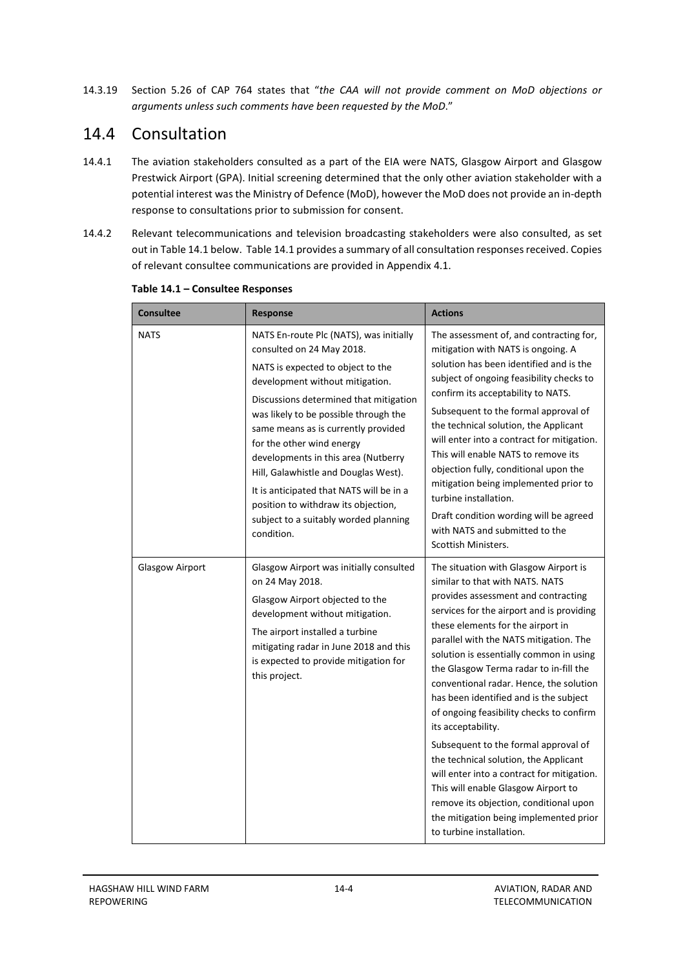14.3.19 Section 5.26 of CAP 764 states that "*the CAA will not provide comment on MoD objections or arguments unless such comments have been requested by the MoD*."

### <span id="page-5-0"></span>14.4 Consultation

- 14.4.1 The aviation stakeholders consulted as a part of the EIA were NATS, Glasgow Airport and Glasgow Prestwick Airport (GPA). Initial screening determined that the only other aviation stakeholder with a potential interest was the Ministry of Defence (MoD), however the MoD does not provide an in-depth response to consultations prior to submission for consent.
- 14.4.2 Relevant telecommunications and television broadcasting stakeholders were also consulted, as set out in Table 14.1 below. Table 14.1 provides a summary of all consultation responses received. Copies of relevant consultee communications are provided in Appendix 4.1.

| <b>Consultee</b>       | Response                                                                                                                                                                                                                                                                                                                                                                                                                                                                                                                     | <b>Actions</b>                                                                                                                                                                                                                                                                                                                                                                                                                                                                                                                                                                                                                                                                                                                                                                |  |  |
|------------------------|------------------------------------------------------------------------------------------------------------------------------------------------------------------------------------------------------------------------------------------------------------------------------------------------------------------------------------------------------------------------------------------------------------------------------------------------------------------------------------------------------------------------------|-------------------------------------------------------------------------------------------------------------------------------------------------------------------------------------------------------------------------------------------------------------------------------------------------------------------------------------------------------------------------------------------------------------------------------------------------------------------------------------------------------------------------------------------------------------------------------------------------------------------------------------------------------------------------------------------------------------------------------------------------------------------------------|--|--|
| <b>NATS</b>            | NATS En-route Plc (NATS), was initially<br>consulted on 24 May 2018.<br>NATS is expected to object to the<br>development without mitigation.<br>Discussions determined that mitigation<br>was likely to be possible through the<br>same means as is currently provided<br>for the other wind energy<br>developments in this area (Nutberry<br>Hill, Galawhistle and Douglas West).<br>It is anticipated that NATS will be in a<br>position to withdraw its objection,<br>subject to a suitably worded planning<br>condition. | The assessment of, and contracting for,<br>mitigation with NATS is ongoing. A<br>solution has been identified and is the<br>subject of ongoing feasibility checks to<br>confirm its acceptability to NATS.<br>Subsequent to the formal approval of<br>the technical solution, the Applicant<br>will enter into a contract for mitigation.<br>This will enable NATS to remove its<br>objection fully, conditional upon the<br>mitigation being implemented prior to<br>turbine installation.<br>Draft condition wording will be agreed<br>with NATS and submitted to the<br>Scottish Ministers.                                                                                                                                                                                |  |  |
| <b>Glasgow Airport</b> | Glasgow Airport was initially consulted<br>on 24 May 2018.<br>Glasgow Airport objected to the<br>development without mitigation.<br>The airport installed a turbine<br>mitigating radar in June 2018 and this<br>is expected to provide mitigation for<br>this project.                                                                                                                                                                                                                                                      | The situation with Glasgow Airport is<br>similar to that with NATS. NATS<br>provides assessment and contracting<br>services for the airport and is providing<br>these elements for the airport in<br>parallel with the NATS mitigation. The<br>solution is essentially common in using<br>the Glasgow Terma radar to in-fill the<br>conventional radar. Hence, the solution<br>has been identified and is the subject<br>of ongoing feasibility checks to confirm<br>its acceptability.<br>Subsequent to the formal approval of<br>the technical solution, the Applicant<br>will enter into a contract for mitigation.<br>This will enable Glasgow Airport to<br>remove its objection, conditional upon<br>the mitigation being implemented prior<br>to turbine installation. |  |  |

#### **Table 14.1 – Consultee Responses**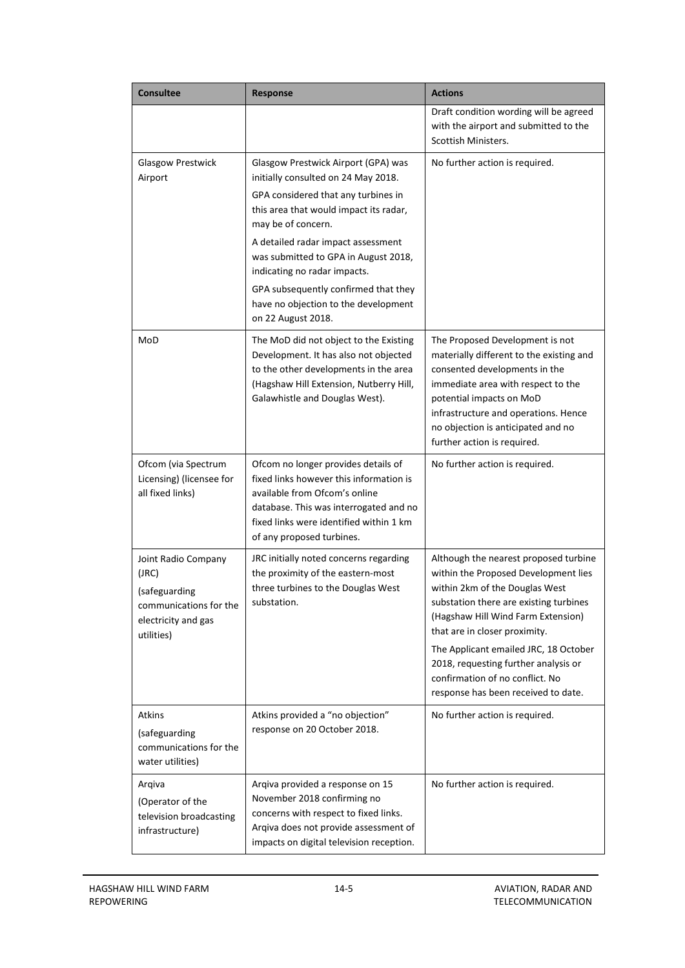| <b>Consultee</b>                                                                                             | <b>Response</b>                                                                                                                                                                                                                   | <b>Actions</b>                                                                                                                                                                                                                                                                                                                                                                              |  |
|--------------------------------------------------------------------------------------------------------------|-----------------------------------------------------------------------------------------------------------------------------------------------------------------------------------------------------------------------------------|---------------------------------------------------------------------------------------------------------------------------------------------------------------------------------------------------------------------------------------------------------------------------------------------------------------------------------------------------------------------------------------------|--|
|                                                                                                              |                                                                                                                                                                                                                                   | Draft condition wording will be agreed<br>with the airport and submitted to the<br>Scottish Ministers.                                                                                                                                                                                                                                                                                      |  |
| <b>Glasgow Prestwick</b><br>Airport                                                                          | Glasgow Prestwick Airport (GPA) was<br>initially consulted on 24 May 2018.                                                                                                                                                        | No further action is required.                                                                                                                                                                                                                                                                                                                                                              |  |
|                                                                                                              | GPA considered that any turbines in<br>this area that would impact its radar,<br>may be of concern.                                                                                                                               |                                                                                                                                                                                                                                                                                                                                                                                             |  |
|                                                                                                              | A detailed radar impact assessment<br>was submitted to GPA in August 2018,<br>indicating no radar impacts.                                                                                                                        |                                                                                                                                                                                                                                                                                                                                                                                             |  |
|                                                                                                              | GPA subsequently confirmed that they<br>have no objection to the development<br>on 22 August 2018.                                                                                                                                |                                                                                                                                                                                                                                                                                                                                                                                             |  |
| MoD                                                                                                          | The MoD did not object to the Existing<br>Development. It has also not objected<br>to the other developments in the area<br>(Hagshaw Hill Extension, Nutberry Hill,<br>Galawhistle and Douglas West).                             | The Proposed Development is not<br>materially different to the existing and<br>consented developments in the<br>immediate area with respect to the<br>potential impacts on MoD<br>infrastructure and operations. Hence<br>no objection is anticipated and no<br>further action is required.                                                                                                 |  |
| Ofcom (via Spectrum<br>Licensing) (licensee for<br>all fixed links)                                          | Ofcom no longer provides details of<br>fixed links however this information is<br>available from Ofcom's online<br>database. This was interrogated and no<br>fixed links were identified within 1 km<br>of any proposed turbines. | No further action is required.                                                                                                                                                                                                                                                                                                                                                              |  |
| Joint Radio Company<br>(JRC)<br>(safeguarding<br>communications for the<br>electricity and gas<br>utilities) | JRC initially noted concerns regarding<br>the proximity of the eastern-most<br>three turbines to the Douglas West<br>substation.                                                                                                  | Although the nearest proposed turbine<br>within the Proposed Development lies<br>within 2km of the Douglas West<br>substation there are existing turbines<br>(Hagshaw Hill Wind Farm Extension)<br>that are in closer proximity.<br>The Applicant emailed JRC, 18 October<br>2018, requesting further analysis or<br>confirmation of no conflict. No<br>response has been received to date. |  |
| Atkins<br>(safeguarding<br>communications for the<br>water utilities)                                        | Atkins provided a "no objection"<br>response on 20 October 2018.                                                                                                                                                                  | No further action is required.                                                                                                                                                                                                                                                                                                                                                              |  |
| Arqiva<br>(Operator of the<br>television broadcasting<br>infrastructure)                                     | Arqiva provided a response on 15<br>November 2018 confirming no<br>concerns with respect to fixed links.<br>Arqiva does not provide assessment of<br>impacts on digital television reception.                                     | No further action is required.                                                                                                                                                                                                                                                                                                                                                              |  |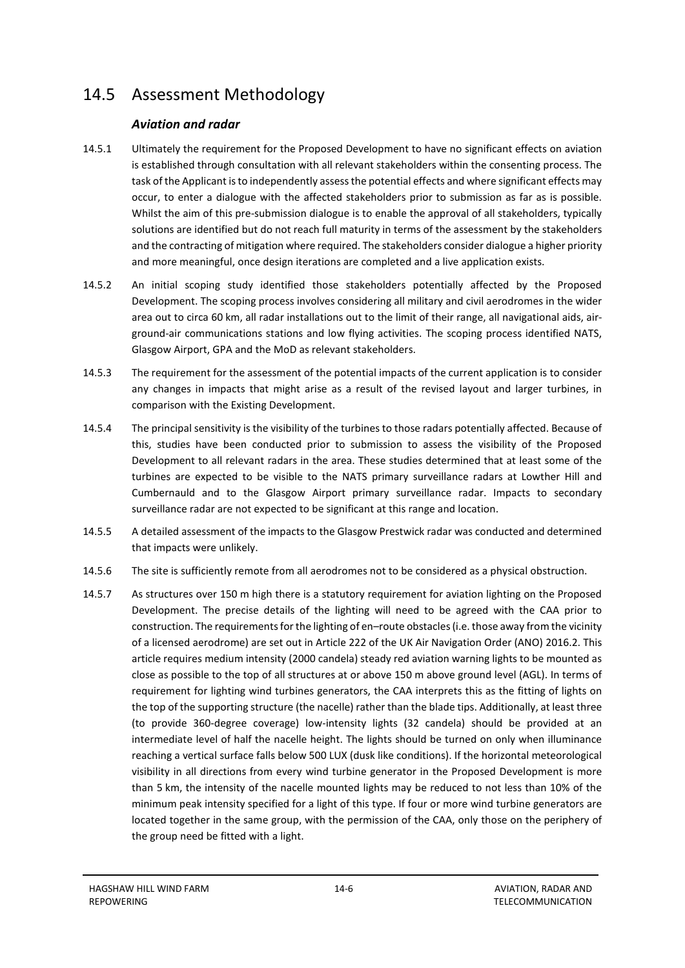# <span id="page-7-0"></span>14.5 Assessment Methodology

#### *Aviation and radar*

- 14.5.1 Ultimately the requirement for the Proposed Development to have no significant effects on aviation is established through consultation with all relevant stakeholders within the consenting process. The task of the Applicant is to independently assess the potential effects and where significant effects may occur, to enter a dialogue with the affected stakeholders prior to submission as far as is possible. Whilst the aim of this pre-submission dialogue is to enable the approval of all stakeholders, typically solutions are identified but do not reach full maturity in terms of the assessment by the stakeholders and the contracting of mitigation where required. The stakeholders consider dialogue a higher priority and more meaningful, once design iterations are completed and a live application exists.
- 14.5.2 An initial scoping study identified those stakeholders potentially affected by the Proposed Development. The scoping process involves considering all military and civil aerodromes in the wider area out to circa 60 km, all radar installations out to the limit of their range, all navigational aids, airground-air communications stations and low flying activities. The scoping process identified NATS, Glasgow Airport, GPA and the MoD as relevant stakeholders.
- 14.5.3 The requirement for the assessment of the potential impacts of the current application is to consider any changes in impacts that might arise as a result of the revised layout and larger turbines, in comparison with the Existing Development.
- 14.5.4 The principal sensitivity is the visibility of the turbines to those radars potentially affected. Because of this, studies have been conducted prior to submission to assess the visibility of the Proposed Development to all relevant radars in the area. These studies determined that at least some of the turbines are expected to be visible to the NATS primary surveillance radars at Lowther Hill and Cumbernauld and to the Glasgow Airport primary surveillance radar. Impacts to secondary surveillance radar are not expected to be significant at this range and location.
- 14.5.5 A detailed assessment of the impacts to the Glasgow Prestwick radar was conducted and determined that impacts were unlikely.
- 14.5.6 The site is sufficiently remote from all aerodromes not to be considered as a physical obstruction.
- 14.5.7 As structures over 150 m high there is a statutory requirement for aviation lighting on the Proposed Development. The precise details of the lighting will need to be agreed with the CAA prior to construction. The requirements for the lighting of en–route obstacles (i.e. those away from the vicinity of a licensed aerodrome) are set out in Article 222 of the UK Air Navigation Order (ANO) 2016.2. This article requires medium intensity (2000 candela) steady red aviation warning lights to be mounted as close as possible to the top of all structures at or above 150 m above ground level (AGL). In terms of requirement for lighting wind turbines generators, the CAA interprets this as the fitting of lights on the top of the supporting structure (the nacelle) rather than the blade tips. Additionally, at least three (to provide 360-degree coverage) low-intensity lights (32 candela) should be provided at an intermediate level of half the nacelle height. The lights should be turned on only when illuminance reaching a vertical surface falls below 500 LUX (dusk like conditions). If the horizontal meteorological visibility in all directions from every wind turbine generator in the Proposed Development is more than 5 km, the intensity of the nacelle mounted lights may be reduced to not less than 10% of the minimum peak intensity specified for a light of this type. If four or more wind turbine generators are located together in the same group, with the permission of the CAA, only those on the periphery of the group need be fitted with a light.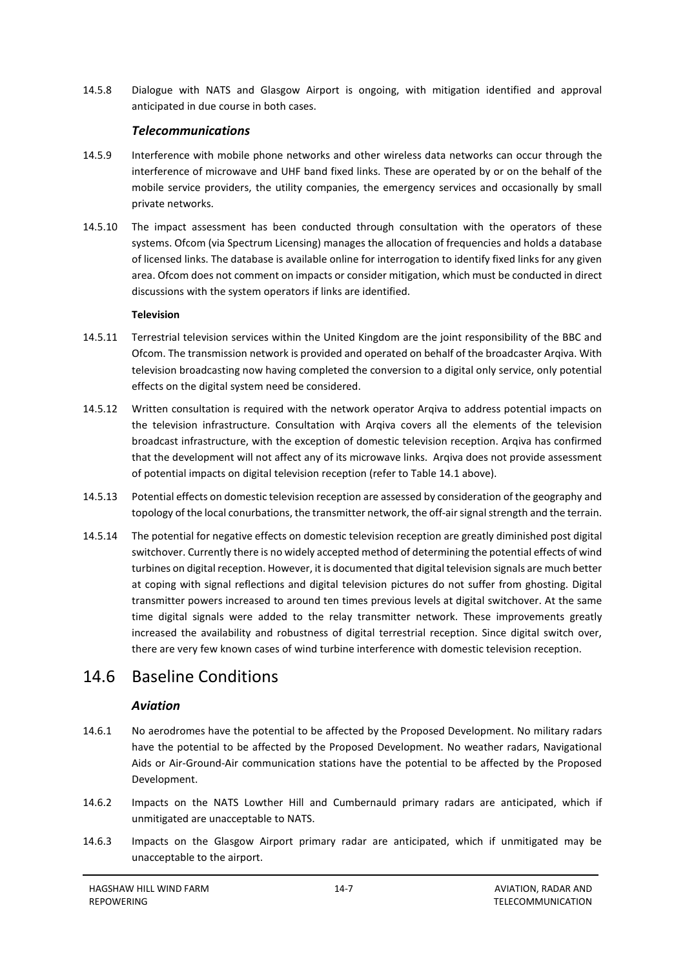14.5.8 Dialogue with NATS and Glasgow Airport is ongoing, with mitigation identified and approval anticipated in due course in both cases.

#### *Telecommunications*

- 14.5.9 Interference with mobile phone networks and other wireless data networks can occur through the interference of microwave and UHF band fixed links. These are operated by or on the behalf of the mobile service providers, the utility companies, the emergency services and occasionally by small private networks.
- 14.5.10 The impact assessment has been conducted through consultation with the operators of these systems. Ofcom (via Spectrum Licensing) manages the allocation of frequencies and holds a database of licensed links. The database is available online for interrogation to identify fixed links for any given area. Ofcom does not comment on impacts or consider mitigation, which must be conducted in direct discussions with the system operators if links are identified.

#### **Television**

- 14.5.11 Terrestrial television services within the United Kingdom are the joint responsibility of the BBC and Ofcom. The transmission network is provided and operated on behalf of the broadcaster Arqiva. With television broadcasting now having completed the conversion to a digital only service, only potential effects on the digital system need be considered.
- 14.5.12 Written consultation is required with the network operator Arqiva to address potential impacts on the television infrastructure. Consultation with Arqiva covers all the elements of the television broadcast infrastructure, with the exception of domestic television reception. Arqiva has confirmed that the development will not affect any of its microwave links. Arqiva does not provide assessment of potential impacts on digital television reception (refer to Table 14.1 above).
- 14.5.13 Potential effects on domestic television reception are assessed by consideration of the geography and topology of the local conurbations, the transmitter network, the off-air signal strength and the terrain.
- 14.5.14 The potential for negative effects on domestic television reception are greatly diminished post digital switchover. Currently there is no widely accepted method of determining the potential effects of wind turbines on digital reception. However, it is documented that digital television signals are much better at coping with signal reflections and digital television pictures do not suffer from ghosting. Digital transmitter powers increased to around ten times previous levels at digital switchover. At the same time digital signals were added to the relay transmitter network. These improvements greatly increased the availability and robustness of digital terrestrial reception. Since digital switch over, there are very few known cases of wind turbine interference with domestic television reception.

# <span id="page-8-0"></span>14.6 Baseline Conditions

#### *Aviation*

- 14.6.1 No aerodromes have the potential to be affected by the Proposed Development. No military radars have the potential to be affected by the Proposed Development. No weather radars, Navigational Aids or Air-Ground-Air communication stations have the potential to be affected by the Proposed Development.
- 14.6.2 Impacts on the NATS Lowther Hill and Cumbernauld primary radars are anticipated, which if unmitigated are unacceptable to NATS.
- 14.6.3 Impacts on the Glasgow Airport primary radar are anticipated, which if unmitigated may be unacceptable to the airport.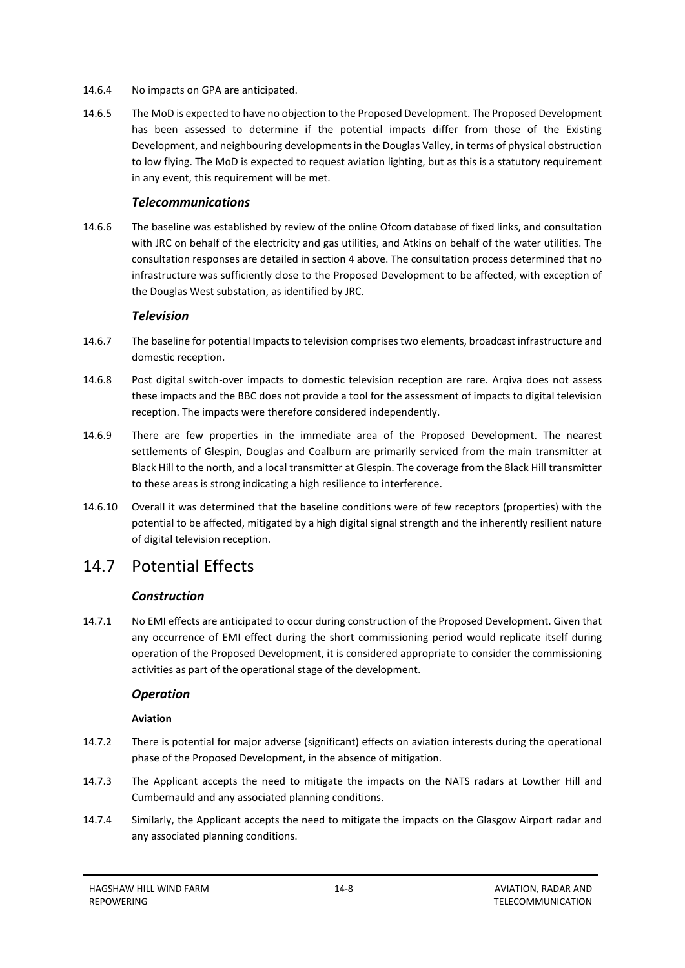- 14.6.4 No impacts on GPA are anticipated.
- 14.6.5 The MoD is expected to have no objection to the Proposed Development. The Proposed Development has been assessed to determine if the potential impacts differ from those of the Existing Development, and neighbouring developments in the Douglas Valley, in terms of physical obstruction to low flying. The MoD is expected to request aviation lighting, but as this is a statutory requirement in any event, this requirement will be met.

#### *Telecommunications*

14.6.6 The baseline was established by review of the online Ofcom database of fixed links, and consultation with JRC on behalf of the electricity and gas utilities, and Atkins on behalf of the water utilities. The consultation responses are detailed in section 4 above. The consultation process determined that no infrastructure was sufficiently close to the Proposed Development to be affected, with exception of the Douglas West substation, as identified by JRC.

#### *Television*

- 14.6.7 The baseline for potential Impacts to television comprises two elements, broadcast infrastructure and domestic reception.
- 14.6.8 Post digital switch-over impacts to domestic television reception are rare. Arqiva does not assess these impacts and the BBC does not provide a tool for the assessment of impacts to digital television reception. The impacts were therefore considered independently.
- 14.6.9 There are few properties in the immediate area of the Proposed Development. The nearest settlements of Glespin, Douglas and Coalburn are primarily serviced from the main transmitter at Black Hill to the north, and a local transmitter at Glespin. The coverage from the Black Hill transmitter to these areas is strong indicating a high resilience to interference.
- 14.6.10 Overall it was determined that the baseline conditions were of few receptors (properties) with the potential to be affected, mitigated by a high digital signal strength and the inherently resilient nature of digital television reception.

# <span id="page-9-0"></span>14.7 Potential Effects

#### *Construction*

14.7.1 No EMI effects are anticipated to occur during construction of the Proposed Development. Given that any occurrence of EMI effect during the short commissioning period would replicate itself during operation of the Proposed Development, it is considered appropriate to consider the commissioning activities as part of the operational stage of the development.

#### *Operation*

#### **Aviation**

- 14.7.2 There is potential for major adverse (significant) effects on aviation interests during the operational phase of the Proposed Development, in the absence of mitigation.
- 14.7.3 The Applicant accepts the need to mitigate the impacts on the NATS radars at Lowther Hill and Cumbernauld and any associated planning conditions.
- 14.7.4 Similarly, the Applicant accepts the need to mitigate the impacts on the Glasgow Airport radar and any associated planning conditions.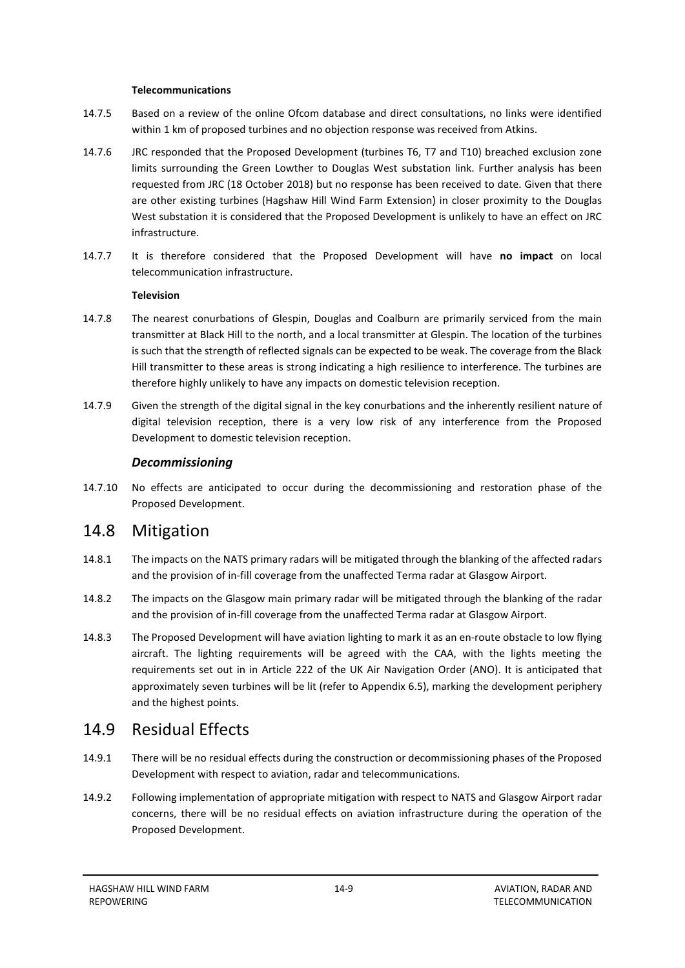#### **Telecommunications**

- 14.7.5 Based on a review of the online Ofcom database and direct consultations, no links were identified within 1 km of proposed turbines and no objection response was received from Atkins.
- 14.7.6 JRC responded that the Proposed Development (turbines T6, T7 and T10) breached exclusion zone limits surrounding the Green Lowther to Douglas West substation link. Further analysis has been requested from JRC (18 October 2018) but no response has been received to date. Given that there are other existing turbines (Hagshaw Hill Wind Farm Extension) in closer proximity to the Douglas West substation it is considered that the Proposed Development is unlikely to have an effect on JRC infrastructure.
- 14.7.7 It is therefore considered that the Proposed Development will have **no impact** on local telecommunication infrastructure.

#### **Television**

- 14.7.8 The nearest conurbations of Glespin, Douglas and Coalburn are primarily serviced from the main transmitter at Black Hill to the north, and a local transmitter at Glespin. The location of the turbines is such that the strength of reflected signals can be expected to be weak. The coverage from the Black Hill transmitter to these areas is strong indicating a high resilience to interference. The turbines are therefore highly unlikely to have any impacts on domestic television reception.
- 14.7.9 Given the strength of the digital signal in the key conurbations and the inherently resilient nature of digital television reception, there is a very low risk of any interference from the Proposed Development to domestic television reception.

#### *Decommissioning*

14.7.10 No effects are anticipated to occur during the decommissioning and restoration phase of the Proposed Development.

# <span id="page-10-0"></span>14.8 Mitigation

- 14.8.1 The impacts on the NATS primary radars will be mitigated through the blanking of the affected radars and the provision of in-fill coverage from the unaffected Terma radar at Glasgow Airport.
- 14.8.2 The impacts on the Glasgow main primary radar will be mitigated through the blanking of the radar and the provision of in-fill coverage from the unaffected Terma radar at Glasgow Airport.
- 14.8.3 The Proposed Development will have aviation lighting to mark it as an en-route obstacle to low flying aircraft. The lighting requirements will be agreed with the CAA, with the lights meeting the requirements set out in in Article 222 of the UK Air Navigation Order (ANO). It is anticipated that approximately seven turbines will be lit (refer to Appendix 6.5), marking the development periphery and the highest points.

### <span id="page-10-1"></span>14.9 Residual Effects

- 14.9.1 There will be no residual effects during the construction or decommissioning phases of the Proposed Development with respect to aviation, radar and telecommunications.
- 14.9.2 Following implementation of appropriate mitigation with respect to NATS and Glasgow Airport radar concerns, there will be no residual effects on aviation infrastructure during the operation of the Proposed Development.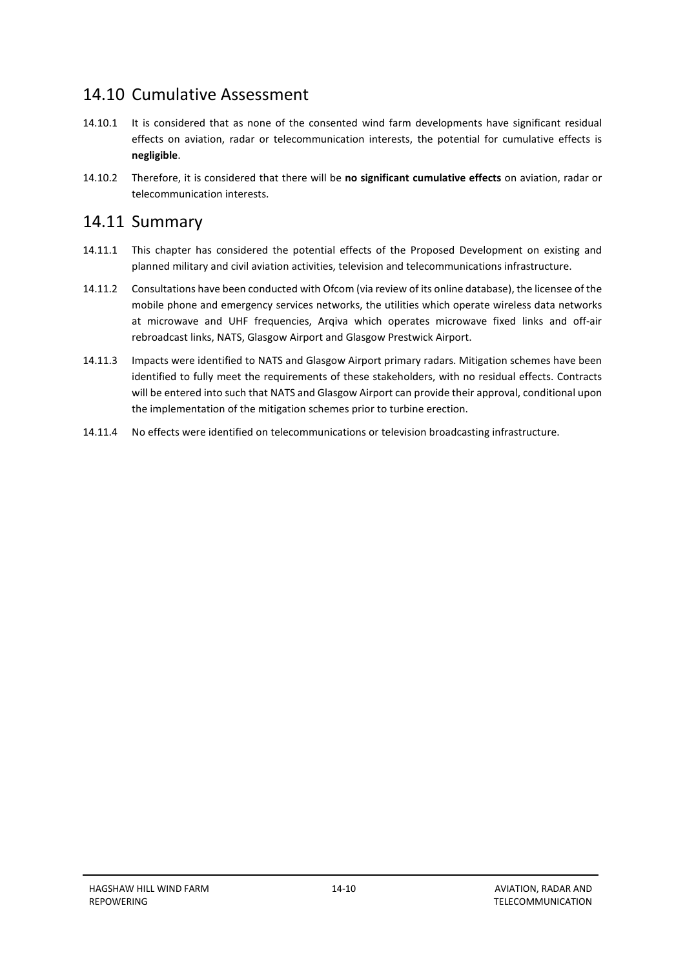# <span id="page-11-0"></span>14.10 Cumulative Assessment

- 14.10.1 It is considered that as none of the consented wind farm developments have significant residual effects on aviation, radar or telecommunication interests, the potential for cumulative effects is **negligible**.
- 14.10.2 Therefore, it is considered that there will be **no significant cumulative effects** on aviation, radar or telecommunication interests.

### <span id="page-11-1"></span>14.11 Summary

- 14.11.1 This chapter has considered the potential effects of the Proposed Development on existing and planned military and civil aviation activities, television and telecommunications infrastructure.
- 14.11.2 Consultations have been conducted with Ofcom (via review of its online database), the licensee of the mobile phone and emergency services networks, the utilities which operate wireless data networks at microwave and UHF frequencies, Arqiva which operates microwave fixed links and off-air rebroadcast links, NATS, Glasgow Airport and Glasgow Prestwick Airport.
- 14.11.3 Impacts were identified to NATS and Glasgow Airport primary radars. Mitigation schemes have been identified to fully meet the requirements of these stakeholders, with no residual effects. Contracts will be entered into such that NATS and Glasgow Airport can provide their approval, conditional upon the implementation of the mitigation schemes prior to turbine erection.
- 14.11.4 No effects were identified on telecommunications or television broadcasting infrastructure.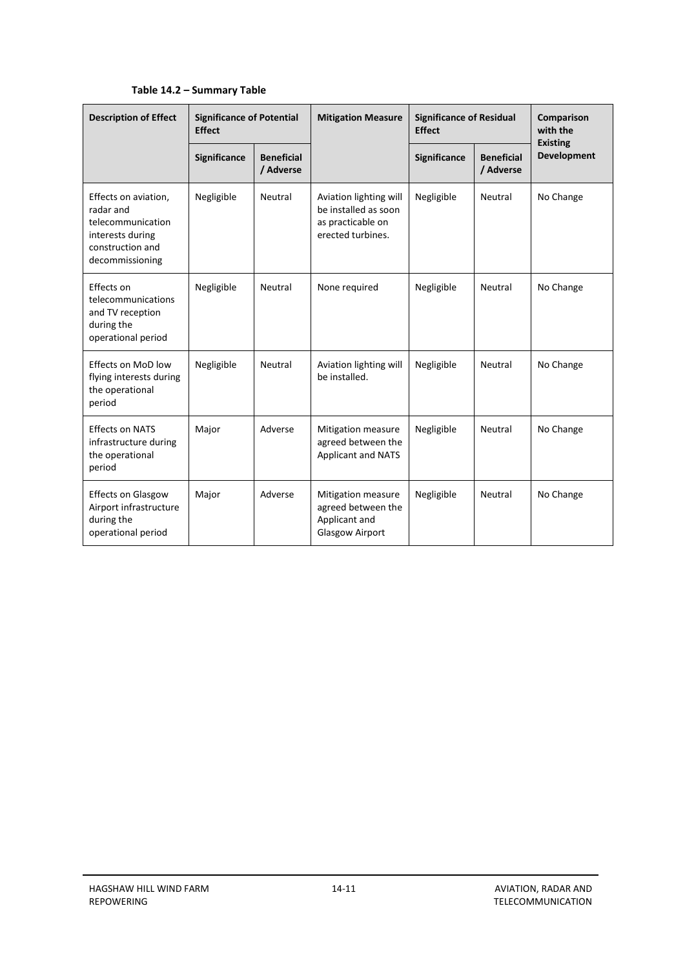#### **Table 14.2 – Summary Table**

| <b>Description of Effect</b>                                                                                      | <b>Significance of Potential</b><br><b>Effect</b> |                                | <b>Mitigation Measure</b>                                                                | <b>Significance of Residual</b><br><b>Effect</b> |                                | Comparison<br>with the<br><b>Existing</b> |
|-------------------------------------------------------------------------------------------------------------------|---------------------------------------------------|--------------------------------|------------------------------------------------------------------------------------------|--------------------------------------------------|--------------------------------|-------------------------------------------|
|                                                                                                                   | Significance                                      | <b>Beneficial</b><br>/ Adverse |                                                                                          | Significance                                     | <b>Beneficial</b><br>/ Adverse | <b>Development</b>                        |
| Effects on aviation,<br>radar and<br>telecommunication<br>interests during<br>construction and<br>decommissioning | Negligible                                        | Neutral                        | Aviation lighting will<br>be installed as soon<br>as practicable on<br>erected turbines. | Negligible                                       | Neutral                        | No Change                                 |
| Effects on<br>telecommunications<br>and TV reception<br>during the<br>operational period                          | Negligible                                        | Neutral                        | None required                                                                            | Negligible                                       | Neutral                        | No Change                                 |
| Effects on MoD low<br>flying interests during<br>the operational<br>period                                        | Negligible                                        | Neutral                        | Aviation lighting will<br>be installed.                                                  | Negligible                                       | Neutral                        | No Change                                 |
| <b>Effects on NATS</b><br>infrastructure during<br>the operational<br>period                                      | Major                                             | Adverse                        | Mitigation measure<br>agreed between the<br><b>Applicant and NATS</b>                    | Negligible                                       | Neutral                        | No Change                                 |
| <b>Effects on Glasgow</b><br>Airport infrastructure<br>during the<br>operational period                           | Major                                             | Adverse                        | Mitigation measure<br>agreed between the<br>Applicant and<br><b>Glasgow Airport</b>      | Negligible                                       | Neutral                        | No Change                                 |